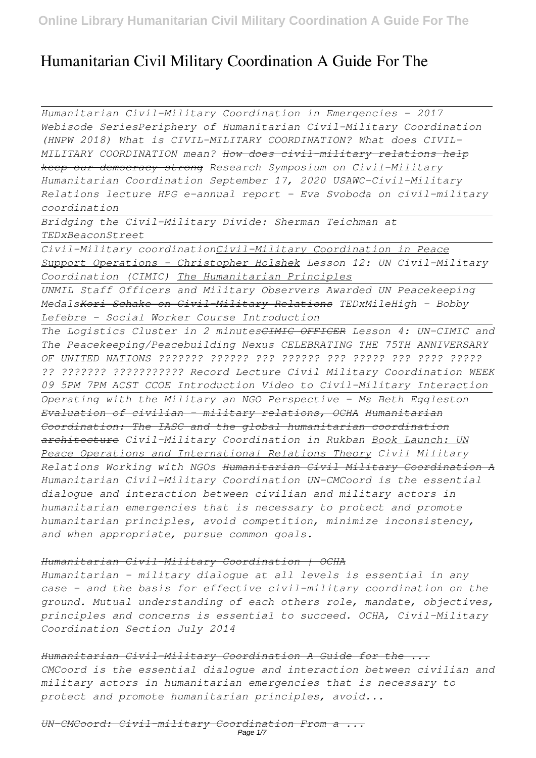# **Humanitarian Civil Military Coordination A Guide For The**

*Humanitarian Civil-Military Coordination in Emergencies - 2017 Webisode SeriesPeriphery of Humanitarian Civil-Military Coordination (HNPW 2018) What is CIVIL-MILITARY COORDINATION? What does CIVIL-MILITARY COORDINATION mean? How does civil-military relations help keep our democracy strong Research Symposium on Civil-Military Humanitarian Coordination September 17, 2020 USAWC-Civil-Military Relations lecture HPG e-annual report - Eva Svoboda on civil-military coordination* 

*Bridging the Civil-Military Divide: Sherman Teichman at TEDxBeaconStreet*

*Civil-Military coordinationCivil-Military Coordination in Peace Support Operations - Christopher Holshek Lesson 12: UN Civil-Military Coordination (CIMIC) The Humanitarian Principles*

*UNMIL Staff Officers and Military Observers Awarded UN Peacekeeping MedalsKori Schake on Civil-Military Relations TEDxMileHigh - Bobby Lefebre - Social Worker Course Introduction*

*The Logistics Cluster in 2 minutesCIMIC OFFICER Lesson 4: UN-CIMIC and The Peacekeeping/Peacebuilding Nexus CELEBRATING THE 75TH ANNIVERSARY OF UNITED NATIONS ??????? ?????? ??? ?????? ??? ????? ??? ???? ????? ?? ??????? ??????????? Record Lecture Civil Military Coordination WEEK 09 5PM 7PM ACST CCOE Introduction Video to Civil-Military Interaction Operating with the Military an NGO Perspective - Ms Beth Eggleston Evaluation of civilian - military relations, OCHA Humanitarian Coordination: The IASC and the global humanitarian coordination architecture Civil-Military Coordination in Rukban Book Launch: UN Peace Operations and International Relations Theory Civil Military Relations Working with NGOs Humanitarian Civil Military Coordination A Humanitarian Civil-Military Coordination UN-CMCoord is the essential dialogue and interaction between civilian and military actors in humanitarian emergencies that is necessary to protect and promote humanitarian principles, avoid competition, minimize inconsistency, and when appropriate, pursue common goals.*

## *Humanitarian Civil-Military Coordination | OCHA*

*Humanitarian - military dialogue at all levels is essential in any case – and the basis for effective civil-military coordination on the ground. Mutual understanding of each others role, mandate, objectives, principles and concerns is essential to succeed. OCHA, Civil-Military Coordination Section July 2014*

*Humanitarian Civil-Military Coordination A Guide for the ... CMCoord is the essential dialogue and interaction between civilian and military actors in humanitarian emergencies that is necessary to protect and promote humanitarian principles, avoid...*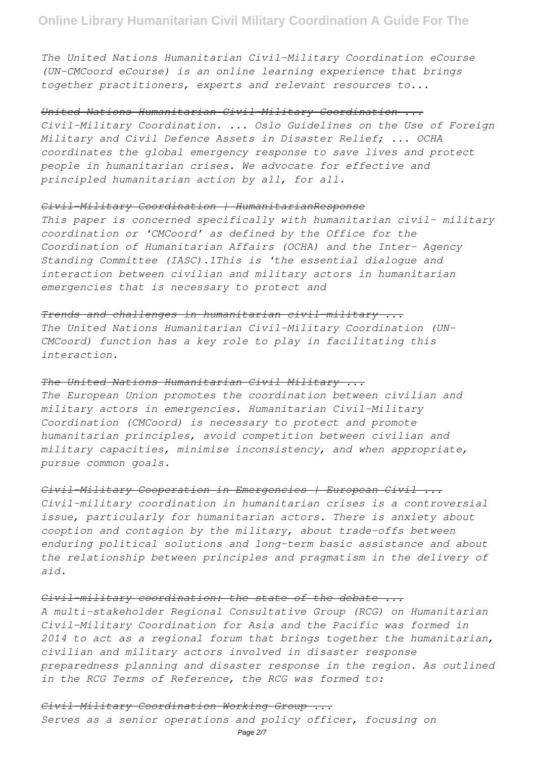*The United Nations Humanitarian Civil-Military Coordination eCourse (UN-CMCoord eCourse) is an online learning experience that brings together practitioners, experts and relevant resources to...*

#### *United Nations Humanitarian Civil-Military Coordination ...*

*Civil-Military Coordination. ... Oslo Guidelines on the Use of Foreign Military and Civil Defence Assets in Disaster Relief; ... OCHA coordinates the global emergency response to save lives and protect people in humanitarian crises. We advocate for effective and principled humanitarian action by all, for all.*

# *Civil-Military Coordination | HumanitarianResponse*

*This paper is concerned specifically with humanitarian civil– military coordination or 'CMCoord' as defined by the Office for the Coordination of Humanitarian Affairs (OCHA) and the Inter- Agency Standing Committee (IASC).1This is 'the essential dialogue and interaction between civilian and military actors in humanitarian emergencies that is necessary to protect and*

# *Trends and challenges in humanitarian civil–military ...*

*The United Nations Humanitarian Civil–Military Coordination (UN-CMCoord) function has a key role to play in facilitating this interaction.*

# *The United Nations Humanitarian Civil Military ...*

*The European Union promotes the coordination between civilian and military actors in emergencies. Humanitarian Civil-Military Coordination (CMCoord) is necessary to protect and promote humanitarian principles, avoid competition between civilian and military capacities, minimise inconsistency, and when appropriate, pursue common goals.*

# *Civil-Military Cooperation in Emergencies | European Civil ...*

*Civil-military coordination in humanitarian crises is a controversial issue, particularly for humanitarian actors. There is anxiety about cooption and contagion by the military, about trade-offs between enduring political solutions and long-term basic assistance and about the relationship between principles and pragmatism in the delivery of aid.*

# *Civil-military coordination: the state of the debate ...*

*A multi-stakeholder Regional Consultative Group (RCG) on Humanitarian Civil-Military Coordination for Asia and the Pacific was formed in 2014 to act as a regional forum that brings together the humanitarian, civilian and military actors involved in disaster response preparedness planning and disaster response in the region. As outlined in the RCG Terms of Reference, the RCG was formed to:*

## *Civil-Military Coordination Working Group ...*

*Serves as a senior operations and policy officer, focusing on*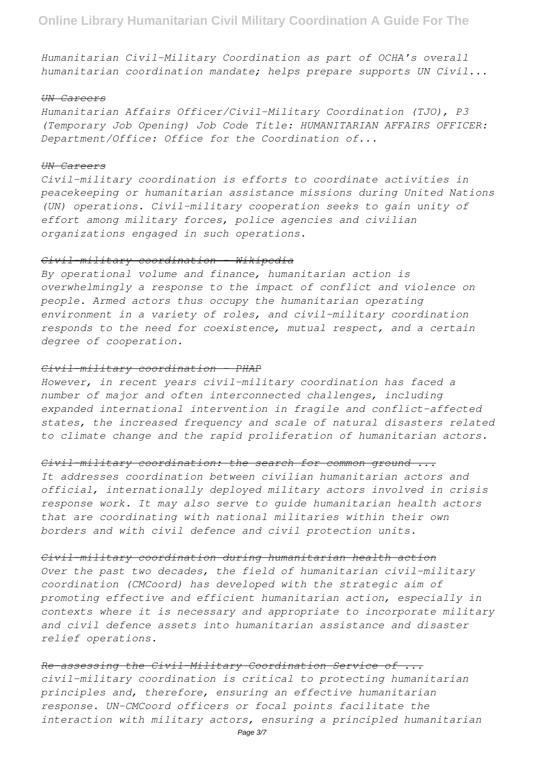*Humanitarian Civil-Military Coordination as part of OCHA's overall humanitarian coordination mandate; helps prepare supports UN Civil...*

#### *UN Careers*

*Humanitarian Affairs Officer/Civil-Military Coordination (TJO), P3 (Temporary Job Opening) Job Code Title: HUMANITARIAN AFFAIRS OFFICER: Department/Office: Office for the Coordination of...*

## *UN Careers*

*Civil-military coordination is efforts to coordinate activities in peacekeeping or humanitarian assistance missions during United Nations (UN) operations. Civil-military cooperation seeks to gain unity of effort among military forces, police agencies and civilian organizations engaged in such operations.*

### *Civil-military coordination - Wikipedia*

*By operational volume and finance, humanitarian action is overwhelmingly a response to the impact of conflict and violence on people. Armed actors thus occupy the humanitarian operating environment in a variety of roles, and civil-military coordination responds to the need for coexistence, mutual respect, and a certain degree of cooperation.*

#### *Civil-military coordination - PHAP*

*However, in recent years civil–military coordination has faced a number of major and often interconnected challenges, including expanded international intervention in fragile and conflict-affected states, the increased frequency and scale of natural disasters related to climate change and the rapid proliferation of humanitarian actors.*

#### *Civil-military coordination: the search for common ground ...*

*It addresses coordination between civilian humanitarian actors and official, internationally deployed military actors involved in crisis response work. It may also serve to guide humanitarian health actors that are coordinating with national militaries within their own borders and with civil defence and civil protection units.*

#### *Civil-military coordination during humanitarian health action*

*Over the past two decades, the field of humanitarian civil-military coordination (CMCoord) has developed with the strategic aim of promoting effective and efficient humanitarian action, especially in contexts where it is necessary and appropriate to incorporate military and civil defence assets into humanitarian assistance and disaster relief operations.*

# *Re-assessing the Civil-Military Coordination Service of ...*

*civil–military coordination is critical to protecting humanitarian principles and, therefore, ensuring an effective humanitarian response. UN-CMCoord officers or focal points facilitate the interaction with military actors, ensuring a principled humanitarian*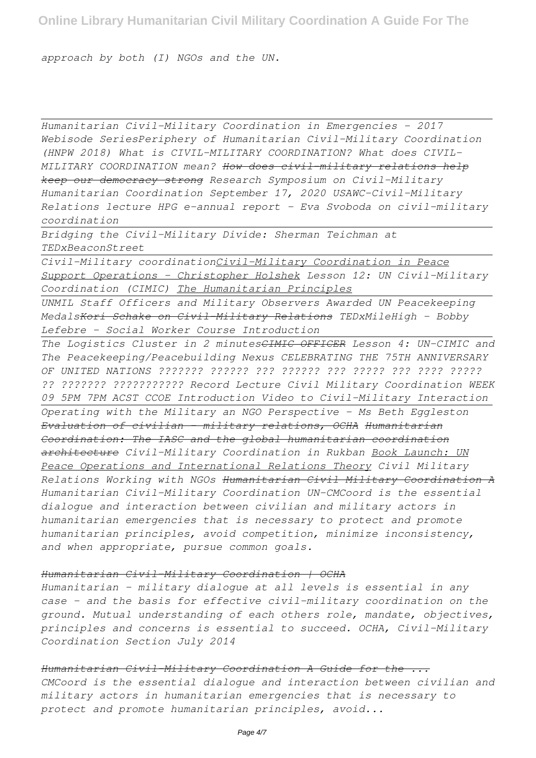*approach by both (I) NGOs and the UN.*

*Humanitarian Civil-Military Coordination in Emergencies - 2017 Webisode SeriesPeriphery of Humanitarian Civil-Military Coordination (HNPW 2018) What is CIVIL-MILITARY COORDINATION? What does CIVIL-MILITARY COORDINATION mean? How does civil-military relations help keep our democracy strong Research Symposium on Civil-Military Humanitarian Coordination September 17, 2020 USAWC-Civil-Military Relations lecture HPG e-annual report - Eva Svoboda on civil-military coordination* 

*Bridging the Civil-Military Divide: Sherman Teichman at TEDxBeaconStreet*

*Civil-Military coordinationCivil-Military Coordination in Peace Support Operations - Christopher Holshek Lesson 12: UN Civil-Military Coordination (CIMIC) The Humanitarian Principles*

*UNMIL Staff Officers and Military Observers Awarded UN Peacekeeping MedalsKori Schake on Civil-Military Relations TEDxMileHigh - Bobby Lefebre - Social Worker Course Introduction*

*The Logistics Cluster in 2 minutesCIMIC OFFICER Lesson 4: UN-CIMIC and The Peacekeeping/Peacebuilding Nexus CELEBRATING THE 75TH ANNIVERSARY OF UNITED NATIONS ??????? ?????? ??? ?????? ??? ????? ??? ???? ????? ?? ??????? ??????????? Record Lecture Civil Military Coordination WEEK 09 5PM 7PM ACST CCOE Introduction Video to Civil-Military Interaction Operating with the Military an NGO Perspective - Ms Beth Eggleston Evaluation of civilian - military relations, OCHA Humanitarian Coordination: The IASC and the global humanitarian coordination architecture Civil-Military Coordination in Rukban Book Launch: UN Peace Operations and International Relations Theory Civil Military Relations Working with NGOs Humanitarian Civil Military Coordination A Humanitarian Civil-Military Coordination UN-CMCoord is the essential dialogue and interaction between civilian and military actors in humanitarian emergencies that is necessary to protect and promote humanitarian principles, avoid competition, minimize inconsistency, and when appropriate, pursue common goals.*

#### *Humanitarian Civil-Military Coordination | OCHA*

*Humanitarian - military dialogue at all levels is essential in any case – and the basis for effective civil-military coordination on the ground. Mutual understanding of each others role, mandate, objectives, principles and concerns is essential to succeed. OCHA, Civil-Military Coordination Section July 2014*

*Humanitarian Civil-Military Coordination A Guide for the ... CMCoord is the essential dialogue and interaction between civilian and military actors in humanitarian emergencies that is necessary to protect and promote humanitarian principles, avoid...*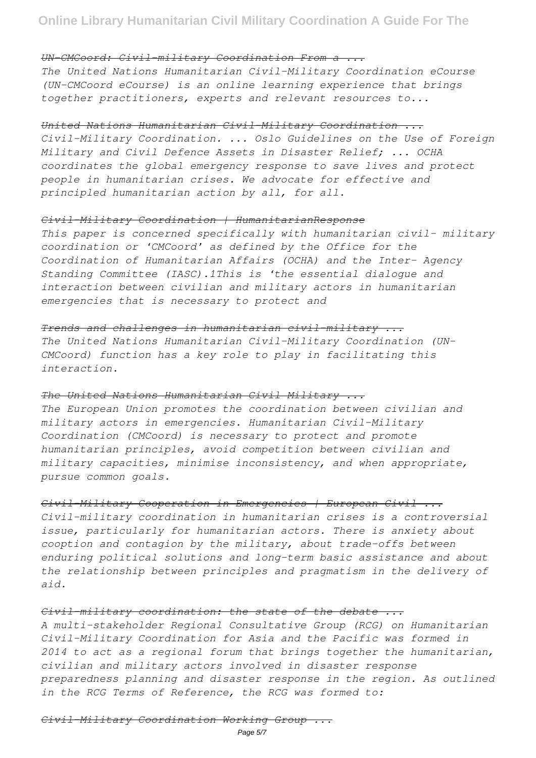# *UN-CMCoord: Civil-military Coordination From a ...*

*The United Nations Humanitarian Civil-Military Coordination eCourse (UN-CMCoord eCourse) is an online learning experience that brings together practitioners, experts and relevant resources to...*

## *United Nations Humanitarian Civil-Military Coordination ...*

*Civil-Military Coordination. ... Oslo Guidelines on the Use of Foreign Military and Civil Defence Assets in Disaster Relief; ... OCHA coordinates the global emergency response to save lives and protect people in humanitarian crises. We advocate for effective and principled humanitarian action by all, for all.*

# *Civil-Military Coordination | HumanitarianResponse*

*This paper is concerned specifically with humanitarian civil– military coordination or 'CMCoord' as defined by the Office for the Coordination of Humanitarian Affairs (OCHA) and the Inter- Agency Standing Committee (IASC).1This is 'the essential dialogue and interaction between civilian and military actors in humanitarian emergencies that is necessary to protect and*

## *Trends and challenges in humanitarian civil–military ...*

*The United Nations Humanitarian Civil–Military Coordination (UN-CMCoord) function has a key role to play in facilitating this interaction.*

## *The United Nations Humanitarian Civil Military ...*

*The European Union promotes the coordination between civilian and military actors in emergencies. Humanitarian Civil-Military Coordination (CMCoord) is necessary to protect and promote humanitarian principles, avoid competition between civilian and military capacities, minimise inconsistency, and when appropriate, pursue common goals.*

# *Civil-Military Cooperation in Emergencies | European Civil ...*

*Civil-military coordination in humanitarian crises is a controversial issue, particularly for humanitarian actors. There is anxiety about cooption and contagion by the military, about trade-offs between enduring political solutions and long-term basic assistance and about the relationship between principles and pragmatism in the delivery of aid.*

## *Civil-military coordination: the state of the debate ...*

*A multi-stakeholder Regional Consultative Group (RCG) on Humanitarian Civil-Military Coordination for Asia and the Pacific was formed in 2014 to act as a regional forum that brings together the humanitarian, civilian and military actors involved in disaster response preparedness planning and disaster response in the region. As outlined in the RCG Terms of Reference, the RCG was formed to:*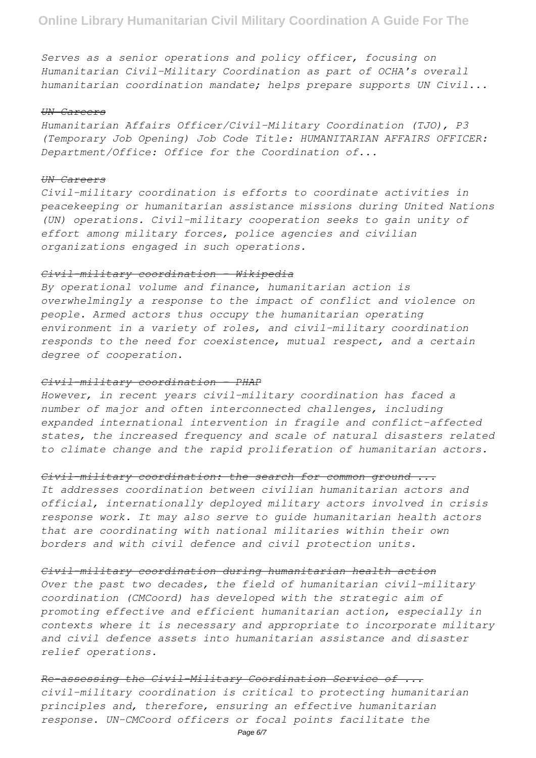*Serves as a senior operations and policy officer, focusing on Humanitarian Civil-Military Coordination as part of OCHA's overall humanitarian coordination mandate; helps prepare supports UN Civil...*

#### *UN Careers*

*Humanitarian Affairs Officer/Civil-Military Coordination (TJO), P3 (Temporary Job Opening) Job Code Title: HUMANITARIAN AFFAIRS OFFICER: Department/Office: Office for the Coordination of...*

#### *UN Careers*

*Civil-military coordination is efforts to coordinate activities in peacekeeping or humanitarian assistance missions during United Nations (UN) operations. Civil-military cooperation seeks to gain unity of effort among military forces, police agencies and civilian organizations engaged in such operations.*

## *Civil-military coordination - Wikipedia*

*By operational volume and finance, humanitarian action is overwhelmingly a response to the impact of conflict and violence on people. Armed actors thus occupy the humanitarian operating environment in a variety of roles, and civil-military coordination responds to the need for coexistence, mutual respect, and a certain degree of cooperation.*

# *Civil-military coordination - PHAP*

*However, in recent years civil–military coordination has faced a number of major and often interconnected challenges, including expanded international intervention in fragile and conflict-affected states, the increased frequency and scale of natural disasters related to climate change and the rapid proliferation of humanitarian actors.*

## *Civil-military coordination: the search for common ground ...*

*It addresses coordination between civilian humanitarian actors and official, internationally deployed military actors involved in crisis response work. It may also serve to guide humanitarian health actors that are coordinating with national militaries within their own borders and with civil defence and civil protection units.*

# *Civil-military coordination during humanitarian health action*

*Over the past two decades, the field of humanitarian civil-military coordination (CMCoord) has developed with the strategic aim of promoting effective and efficient humanitarian action, especially in contexts where it is necessary and appropriate to incorporate military and civil defence assets into humanitarian assistance and disaster relief operations.*

*Re-assessing the Civil-Military Coordination Service of ... civil–military coordination is critical to protecting humanitarian principles and, therefore, ensuring an effective humanitarian response. UN-CMCoord officers or focal points facilitate the*